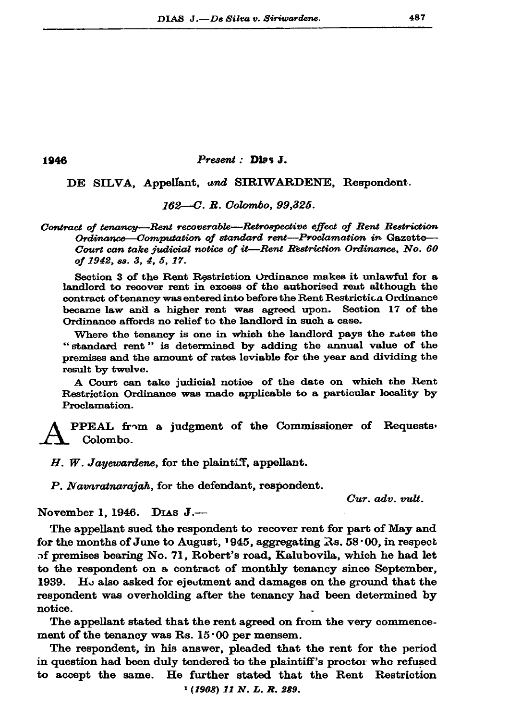1946

## Present : Dias J.

DE SILVA, Appellant, und SIRIWARDENE, Respondent.

162-C. R. Colombo, 99,325.

Contract of tenancy-Rent recoverable-Retrospective effect of Rent Restriction Ordinance-Computation of standard rent-Proclamation in Gazette-Court can take judicial notice of it-Rent Restriction Ordinance. No. 60 of 1942, ss. 3, 4, 5, 17.

Section 3 of the Rent Restriction Ordinance makes it unlawful for a landlord to recover rent in excess of the authorised rent although the contract of tenancy was entered into before the Rent Restriction Ordinance became law and a higher rent was agreed upon. Section 17 of the Ordinance affords no relief to the landlord in such a case.

Where the tenancy is one in which the landlord pays the rates the "standard rent" is determined by adding the annual value of the premises and the amount of rates leviable for the year and dividing the result by twelve.

A Court can take judicial notice of the date on which the Rent Restriction Ordinance was made applicable to a particular locality by Proclamation.

PPEAL from a judgment of the Commissioner of Requests, Colombo.

 $H.$  W. Jayewardene, for the plaintiff, appellant.

P. Navaratnarajah, for the defendant, respondent.

Cur. adv. vult.

November 1, 1946. DIAS J.-

The appellant sued the respondent to recover rent for part of May and for the months of June to August, 1945, aggregating  $\mathbb{R}$ s. 58.00, in respect of premises bearing No. 71, Robert's road, Kalubovila, which he had let to the respondent on a contract of monthly tenancy since September, 1939. H<sub> $\circ$ </sub> also asked for ejectment and damages on the ground that the respondent was overholding after the tenancy had been determined by notice.

The appellant stated that the rent agreed on from the very commencement of the tenancy was Rs. 15.00 per mensem.

The respondent, in his answer, pleaded that the rent for the period in question had been duly tendered to the plaintiff's proctor who refused to accept the same. He further stated that the Rent Restriction

 $(1908)$  11 N. L. R. 289.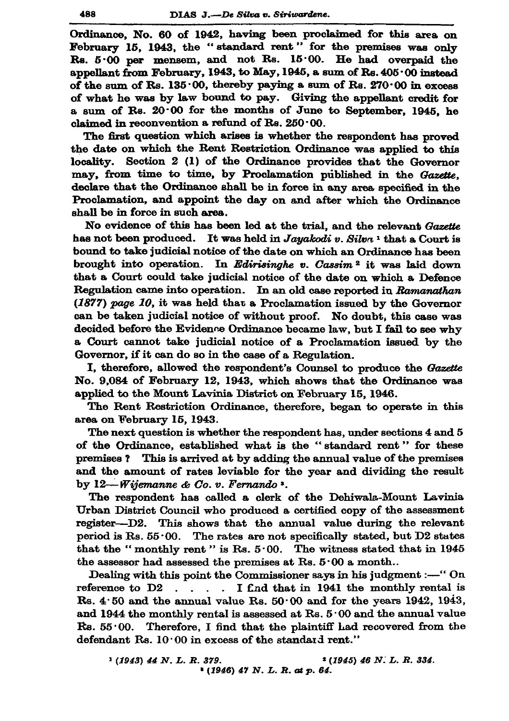Ordinance, No. 60 of 1942, having been proclaimed for this area on February 15, 1943, the "standard rent" for the premises was only  $\text{Rs. } 5.00$  per mensem, and not  $\text{Rs. } 15.00$ . He had overpaid the appellant from February, 1943, to May, 1945, a sum of Rs.  $405 \cdot 00$  instead of the sum of Rs. 135.00, thereby paying a sum of Rs.  $270.00$  in excess of what he was by law bound to pay. Giving the appellant credit for a sum of Rs. 20.00 for the months of June to September, 1945, he claimed in reconvention a refund of Rs.  $250 \cdot 00$ .

The first question which arises is whether the respondent has proved the date on which the Rent Restriction Ordinance was applied to this locality. Section 2 (1) of the Ordinance provides that the Governor may, from time to time, by Proclamation published in the Gazette, declare that the Ordinance shall be in force in any area specified in the Proclamation, and appoint the day on and after which the Ordinance shall be in force in such area.

No evidence of this has been led at the trial, and the relevant Gazette has not been produced. It was held in Jayakodi v. Silva<sup>1</sup> that a Court is bound to take judicial notice of the date on which an Ordinance has been brought into operation. In Edirisinghe v. Cassim<sup>2</sup> it was laid down that a Court could take judicial notice of the date on which a Defence Regulation came into operation. In an old case reported in Ramanathan (1877) page 10, it was held that a Proclamation issued by the Governor can be taken judicial notice of without proof. No doubt, this case was decided before the Evidence Ordinance became law, but I fail to see why a Court cannot take judicial notice of a Proclamation issued by the Governor, if it can do so in the case of a Regulation.

I, therefore, allowed the respondent's Counsel to produce the Gazette No. 9,084 of February 12, 1943, which shows that the Ordinance was applied to the Mount Lavinia District on February 15, 1946.

The Rent Restriction Ordinance, therefore, began to operate in this area on February 15, 1943.

The next question is whether the respondent has, under sections 4 and 5 of the Ordinance, established what is the "standard rent" for these premises? This is arrived at by adding the annual value of the premises and the amount of rates leviable for the year and dividing the result by  $12 - Wij$ emanne & Co. v. Fernando  $\cdot$ .

The respondent has called a clerk of the Dehiwala-Mount Lavinia Urban District Council who produced a certified copy of the assessment register---D2. This shows that the annual value during the relevant period is Rs.  $55.00$ . The rates are not specifically stated, but D2 states that the "monthly rent" is Rs.  $5.00$ . The witness stated that in 1945 the assessor had assessed the premises at Rs.  $5.00$  a month...

Dealing with this point the Commissioner says in his judgment :- "On reference to D2 . . . . I find that in 1941 the monthly rental is Rs. 4.50 and the annual value Rs.  $50.00$  and for the years 1942, 1943, and 1944 the monthly rental is assessed at Rs. 5:00 and the annual value Rs. 55.00. Therefore, I find that the plaintiff had recovered from the defendant Rs. 10.00 in excess of the standard rent."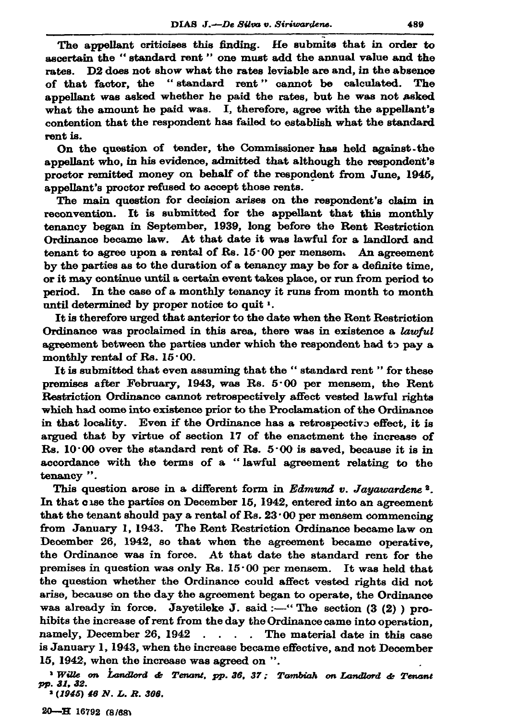The appellant criticises this finding. He submits that in order to ascertain the "standard rent" one must add the annual value and the rates. D2 does not show what the rates leviable are and, in the absence of that factor, the "standard rent" cannot be calculated. The appellant was asked whether he paid the rates, but he was not asked what the amount he paid was. I, therefore, agree with the appellant's contention that the respondent has failed to establish what the standard rent is.

On the question of tender, the Commissioner has held against the appellant who, in his evidence, admitted that although the respondent's proctor remitted money on behalf of the respondent from June. 1945. appellant's proctor refused to accept those rents.

The main question for decision arises on the respondent's claim in reconvention. It is submitted for the appellant that this monthly tenancy began in September, 1939, long before the Rent Restriction Ordinance became law. At that date it was lawful for a landlord and tenant to agree upon a rental of Rs.  $15.00$  per mensem. An agreement by the parties as to the duration of a tenancy may be for a definite time. or it may continue until a certain event takes place, or run from period to period. In the case of a monthly tenancy it runs from month to month until determined by proper notice to quit 1.

It is therefore urged that anterior to the date when the Rent Restriction Ordinance was proclaimed in this area, there was in existence a lawful agreement between the parties under which the respondent had to pay a monthly rental of Rs.  $15 \cdot 00$ .

It is submitted that even assuming that the "standard rent" for these premises after February, 1943, was Rs.  $5.00$  per mensem, the Rent Restriction Ordinance cannot retrospectively affect vested lawful rights which had come into existence prior to the Proclamation of the Ordinance in that locality. Even if the Ordinance has a retrospective effect, it is argued that by virtue of section 17 of the enactment the increase of Rs. 10.00 over the standard rent of Rs. 5.00 is saved, because it is in accordance with the terms of a "lawful agreement relating to the tenancy ".

This question arose in a different form in Edmund v. Jayawardene<sup>2</sup>. In that case the parties on December 15, 1942, entered into an agreement that the tenant should pay a rental of Rs.  $23.00$  per mensem commencing from January 1, 1943. The Rent Restriction Ordinance became law on December 26, 1942, so that when the agreement became operative, the Ordinance was in force. At that date the standard rent for the premises in question was only Rs.  $15.00$  per mensem. It was held that the question whether the Ordinance could affect vested rights did not arise, because on the day the agreement began to operate, the Ordinance was already in force. Jayetileke J. said :- "The section  $(3 (2))$  prohibits the increase of rent from the day the Ordinance came into operation. namely, December 26, 1942 . . . . The material date in this case is January 1, 1943, when the increase became effective, and not December 15, 1942, when the increase was agreed on ".

' Wille on Landlord & Tenant, pp. 36, 37; Tambiah on Landlord & Tenant рр. 31, 32.  $(1945)$  46 N. L. R. 306.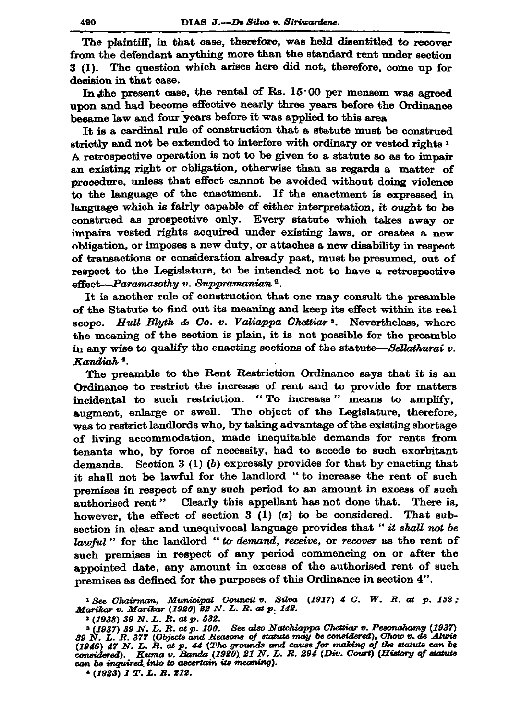The plaintiff, in that case, therefore, was held disentitled to recover from the defendant anything more than the standard rent under section 3 (1). The question which arises here did not, therefore, come up for decision in that case.

In the present case, the rental of Rs.  $15.00$  per mensem was agreed upon and had become effective nearly three years before the Ordinance became law and four years before it was applied to this area

It is a cardinal rule of construction that a statute must be construed strictly and not be extended to interfere with ordinary or vested rights  $\frac{1}{2}$ A retrospective operation is not to be given to a statute so as to impair an existing right or obligation, otherwise than as regards a matter of procedure, unless that effect cannot be avoided without doing violence to the language of the enactment. If the enactment is expressed in language which is fairly capable of either interpretation, it ought to be construed as prospective only. Every statute which takes away or impairs vested rights acquired under existing laws, or creates a new obligation, or imposes a new duty, or attaches a new disability in respect of transactions or consideration already past, must be presumed, out of respect to the Legislature, to be intended not to have a retrospective effect-Paramasothy v. Suppramanian<sup>2</sup>.

It is another rule of construction that one may consult the preamble of the Statute to find out its meaning and keep its effect within its real scope. Hull Blyth & Co. v. Valiappa Chettiar<sup>3</sup>. Nevertheless, where the meaning of the section is plain, it is not possible for the preamble in any wise to qualify the enacting sections of the statute-Sellathurai v. Kandiah<sup>4</sup>.

The preamble to the Rent Restriction Ordinance says that it is an Ordinance to restrict the increase of rent and to provide for matters incidental to such restriction. "To increase" means to amplify, augment, enlarge or swell. The object of the Legislature, therefore, was to restrict landlords who, by taking advantage of the existing shortage of living accommodation, made inequitable demands for rents from tenants who, by force of necessity, had to accede to such exorbitant demands. Section  $3(1)(b)$  expressly provides for that by enacting that it shall not be lawful for the landlord "to increase the rent of such premises in respect of any such period to an amount in excess of such authorised rent" Clearly this appellant has not done that. There is, however, the effect of section  $3(1)(a)$  to be considered. That subsection in clear and unequivocal language provides that "it shall not be lawful" for the landlord "to demand, receive, or recover as the rent of such premises in respect of any period commencing on or after the appointed date, any amount in excess of the authorised rent of such premises as defined for the purposes of this Ordinance in section 4".

 $^1$  See Chairman, Municipal Council v. Silva (1917) 4 C. W. R. at p. 152;<br>Marikar v. Marikar (1920) 22 N. L. R. at p. 142.

 $(1938)$  39 N.L.R. at p. 532.

(1937) 39 N. L. R. at p. 100. See also Natchiappa Chettiar v. Pesonahamy (1937) 39 N. L. R. 377 (Objects and Reasons of statute may be considered), Chow v. de Alwis (1946) 47 N. L. R. at p. 44 (The grounds and cause for m can be inquired into to ascertain its meaning).

 $(1923)$  1 T.L.R. 212.